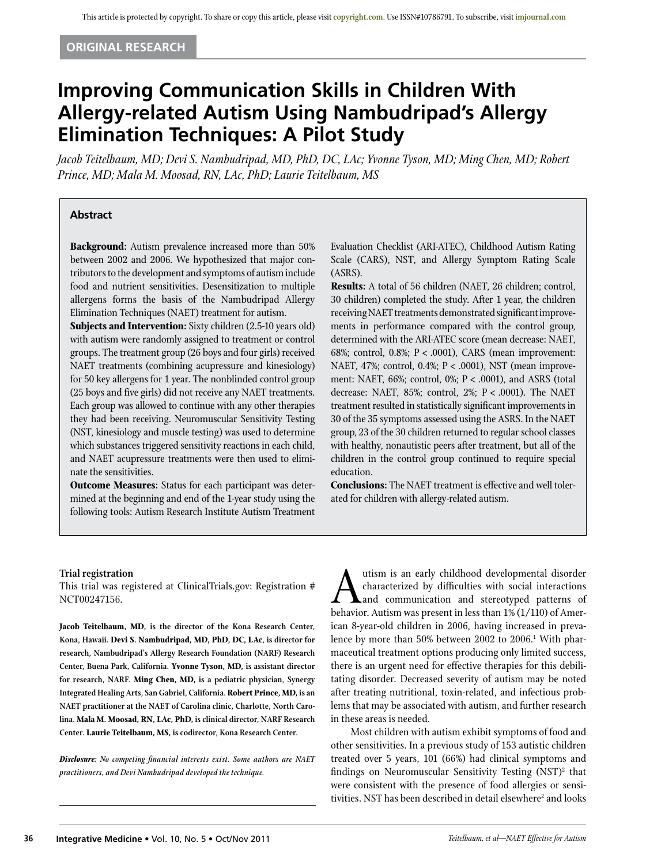# **Original Research**

# **Improving Communication Skills in Children With Allergy-related Autism Using Nambudripad's Allergy Elimination Techniques: A Pilot Study**

*Jacob Teitelbaum, MD; Devi S. Nambudripad, MD, PhD, DC, LAc; Yvonne Tyson, MD; Ming Chen, MD; Robert Prince, MD; Mala M. Moosad, RN, LAc, PhD; Laurie Teitelbaum, MS* 

# **Abstract**

**Background:** Autism prevalence increased more than 50% between 2002 and 2006. We hypothesized that major contributors to the development and symptoms of autism include food and nutrient sensitivities. Desensitization to multiple allergens forms the basis of the Nambudripad Allergy Elimination Techniques (NAET) treatment for autism.

**Subjects and Intervention:** Sixty children (2.5-10 years old) with autism were randomly assigned to treatment or control groups. The treatment group (26 boys and four girls) received NAET treatments (combining acupressure and kinesiology) for 50 key allergens for 1 year. The nonblinded control group (25 boys and five girls) did not receive any NAET treatments. Each group was allowed to continue with any other therapies they had been receiving. Neuromuscular Sensitivity Testing (NST, kinesiology and muscle testing) was used to determine which substances triggered sensitivity reactions in each child, and NAET acupressure treatments were then used to eliminate the sensitivities.

**Outcome Measures:** Status for each participant was determined at the beginning and end of the 1-year study using the following tools: Autism Research Institute Autism Treatment

Evaluation Checklist (ARI-ATEC), Childhood Autism Rating Scale (CARS), NST, and Allergy Symptom Rating Scale (ASRS).

**Results:** A total of 56 children (NAET, 26 children; control, 30 children) completed the study. After 1 year, the children receiving NAET treatments demonstrated significant improvements in performance compared with the control group, determined with the ARI-ATEC score (mean decrease: NAET, 68%; control, 0.8%; P < .0001), CARS (mean improvement: NAET, 47%; control, 0.4%; P < .0001), NST (mean improvement: NAET, 66%; control, 0%; P < .0001), and ASRS (total decrease: NAET, 85%; control, 2%; P < .0001). The NAET treatment resulted in statistically significant improvements in 30 of the 35 symptoms assessed using the ASRS. In the NAET group, 23 of the 30 children returned to regular school classes with healthy, nonautistic peers after treatment, but all of the children in the control group continued to require special education.

**Conclusions:** The NAET treatment is effective and well tolerated for children with allergy-related autism.

#### **Trial registration**

This trial was registered at ClinicalTrials.gov: Registration # NCT00247156.

**Jacob Teitelbaum, MD, is the director of the Kona Research Center, Kona, Hawaii. Devi S. Nambudripad, MD, PhD, DC, LAc, is director for research, Nambudripad's Allergy Research Foundation (NARF) Research Center, Buena Park, California. Yvonne Tyson, MD, is assistant director for research, NARF. Ming Chen, MD, is a pediatric physician, Synergy Integrated Healing Arts, San Gabriel, California. Robert Prince, MD, is an NAET practitioner at the NAET of Carolina clinic, Charlotte, North Carolina. Mala M. Moosad, RN, LAc, PhD, is clinical director, NARF Research Center. Laurie Teitelbaum, MS, is codirector, Kona Research Center.** 

*Disclosure: No competing financial interests exist. Some authors are NAET practitioners, and Devi Nambudripad developed the technique.* 

utism is an early childhood developmental disorder<br>characterized by difficulties with social interactions<br>hehavior Autism was present in less than 1% (1/110) of Amercharacterized by difficulties with social interactions and communication and stereotyped patterns of behavior. Autism was present in less than 1% (1/110) of American 8-year-old children in 2006, having increased in prevalence by more than 50% between 2002 to 2006.<sup>1</sup> With pharmaceutical treatment options producing only limited success, there is an urgent need for effective therapies for this debilitating disorder. Decreased severity of autism may be noted after treating nutritional, toxin-related, and infectious problems that may be associated with autism, and further research in these areas is needed.

Most children with autism exhibit symptoms of food and other sensitivities. In a previous study of 153 autistic children treated over 5 years, 101 (66%) had clinical symptoms and findings on Neuromuscular Sensitivity Testing (NST)<sup>2</sup> that were consistent with the presence of food allergies or sensitivities. NST has been described in detail elsewhere<sup>2</sup> and looks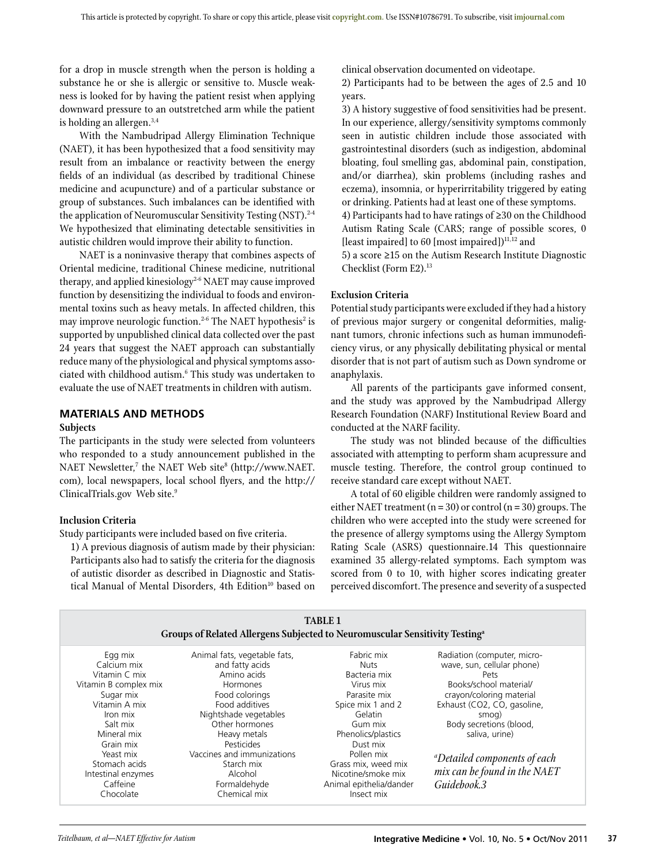for a drop in muscle strength when the person is holding a substance he or she is allergic or sensitive to. Muscle weakness is looked for by having the patient resist when applying downward pressure to an outstretched arm while the patient is holding an allergen.3,4

With the Nambudripad Allergy Elimination Technique (NAET), it has been hypothesized that a food sensitivity may result from an imbalance or reactivity between the energy fields of an individual (as described by traditional Chinese medicine and acupuncture) and of a particular substance or group of substances. Such imbalances can be identified with the application of Neuromuscular Sensitivity Testing (NST).<sup>2-4</sup> We hypothesized that eliminating detectable sensitivities in autistic children would improve their ability to function.

NAET is a noninvasive therapy that combines aspects of Oriental medicine, traditional Chinese medicine, nutritional therapy, and applied kinesiology<sup>2-6</sup> NAET may cause improved function by desensitizing the individual to foods and environmental toxins such as heavy metals. In affected children, this may improve neurologic function.<sup>2-6</sup> The NAET hypothesis<sup>2</sup> is supported by unpublished clinical data collected over the past 24 years that suggest the NAET approach can substantially reduce many of the physiological and physical symptoms associated with childhood autism.<sup>6</sup> This study was undertaken to evaluate the use of NAET treatments in children with autism.

# **MATERIALS AND METHODS**

#### **Subjects**

The participants in the study were selected from volunteers who responded to a study announcement published in the NAET Newsletter,<sup>7</sup> the NAET Web site<sup>8</sup> (http://www.NAET. com), local newspapers, local school flyers, and the http:// ClinicalTrials.gov Web site.<sup>9</sup>

# **Inclusion Criteria**

Study participants were included based on five criteria.

1) A previous diagnosis of autism made by their physician: Participants also had to satisfy the criteria for the diagnosis of autistic disorder as described in Diagnostic and Statistical Manual of Mental Disorders, 4th Edition<sup>10</sup> based on clinical observation documented on videotape.

2) Participants had to be between the ages of 2.5 and 10 years.

3) A history suggestive of food sensitivities had be present. In our experience, allergy/sensitivity symptoms commonly seen in autistic children include those associated with gastrointestinal disorders (such as indigestion, abdominal bloating, foul smelling gas, abdominal pain, constipation, and/or diarrhea), skin problems (including rashes and eczema), insomnia, or hyperirritability triggered by eating or drinking. Patients had at least one of these symptoms.

4) Participants had to have ratings of ≥30 on the Childhood Autism Rating Scale (CARS; range of possible scores, 0 [least impaired] to 60 [most impaired] $)^{11,12}$  and

5) a score ≥15 on the Autism Research Institute Diagnostic Checklist (Form E2).13

# **Exclusion Criteria**

Potential study participants were excluded if they had a history of previous major surgery or congenital deformities, malignant tumors, chronic infections such as human immunodeficiency virus, or any physically debilitating physical or mental disorder that is not part of autism such as Down syndrome or anaphylaxis.

All parents of the participants gave informed consent, and the study was approved by the Nambudripad Allergy Research Foundation (NARF) Institutional Review Board and conducted at the NARF facility.

The study was not blinded because of the difficulties associated with attempting to perform sham acupressure and muscle testing. Therefore, the control group continued to receive standard care except without NAET.

A total of 60 eligible children were randomly assigned to either NAET treatment ( $n = 30$ ) or control ( $n = 30$ ) groups. The children who were accepted into the study were screened for the presence of allergy symptoms using the Allergy Symptom Rating Scale (ASRS) questionnaire.14 This questionnaire examined 35 allergy-related symptoms. Each symptom was scored from 0 to 10, with higher scores indicating greater perceived discomfort. The presence and severity of a suspected

| <b>TABLE 1</b><br>Groups of Related Allergens Subjected to Neuromuscular Sensitivity Testing <sup>a</sup>                                          |                                                                                                                                                                                                |                                                                                                                                                     |                                                                                                                                                                                                              |  |  |  |  |  |
|----------------------------------------------------------------------------------------------------------------------------------------------------|------------------------------------------------------------------------------------------------------------------------------------------------------------------------------------------------|-----------------------------------------------------------------------------------------------------------------------------------------------------|--------------------------------------------------------------------------------------------------------------------------------------------------------------------------------------------------------------|--|--|--|--|--|
| Egg mix<br>Calcium mix<br>Vitamin C mix<br>Vitamin B complex mix<br>Sugar mix<br>Vitamin A mix<br>Iron mix<br>Salt mix<br>Mineral mix<br>Grain mix | Animal fats, vegetable fats,<br>and fatty acids<br>Amino acids<br><b>Hormones</b><br>Food colorings<br>Food additives<br>Nightshade vegetables<br>Other hormones<br>Heavy metals<br>Pesticides | Fabric mix<br><b>Nuts</b><br>Bacteria mix<br>Virus mix<br>Parasite mix<br>Spice mix 1 and 2<br>Gelatin<br>Gum mix<br>Phenolics/plastics<br>Dust mix | Radiation (computer, micro-<br>wave, sun, cellular phone)<br>Pets<br>Books/school material/<br>crayon/coloring material<br>Exhaust (CO2, CO, gasoline,<br>smog)<br>Body secretions (blood,<br>saliva, urine) |  |  |  |  |  |
| Yeast mix<br>Stomach acids<br>Intestinal enzymes<br>Caffeine<br>Chocolate                                                                          | Vaccines and immunizations<br>Starch mix<br>Alcohol<br>Formaldehyde<br>Chemical mix                                                                                                            | Pollen mix<br>Grass mix, weed mix<br>Nicotine/smoke mix<br>Animal epithelia/dander<br>Insect mix                                                    | <i>aDetailed components of each</i><br>mix can be found in the NAET<br>Guidebook.3                                                                                                                           |  |  |  |  |  |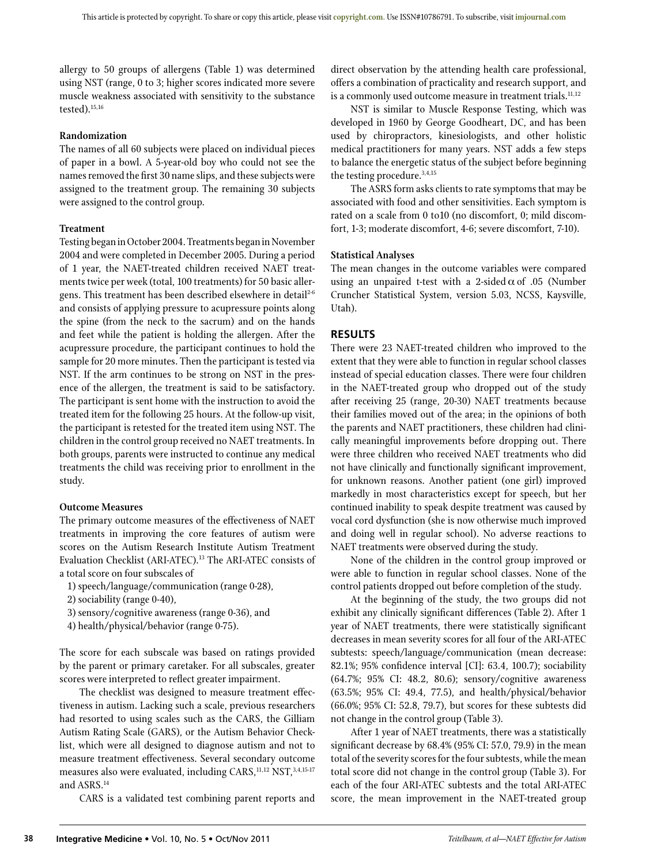allergy to 50 groups of allergens (Table 1) was determined using NST (range, 0 to 3; higher scores indicated more severe muscle weakness associated with sensitivity to the substance tested).15,16

## **Randomization**

The names of all 60 subjects were placed on individual pieces of paper in a bowl. A 5-year-old boy who could not see the names removed the first 30 name slips, and these subjects were assigned to the treatment group. The remaining 30 subjects were assigned to the control group.

## **Treatment**

Testing began in October 2004. Treatments began in November 2004 and were completed in December 2005. During a period of 1 year, the NAET-treated children received NAET treatments twice per week (total, 100 treatments) for 50 basic allergens. This treatment has been described elsewhere in detail<sup>2-6</sup> and consists of applying pressure to acupressure points along the spine (from the neck to the sacrum) and on the hands and feet while the patient is holding the allergen. After the acupressure procedure, the participant continues to hold the sample for 20 more minutes. Then the participant is tested via NST. If the arm continues to be strong on NST in the presence of the allergen, the treatment is said to be satisfactory. The participant is sent home with the instruction to avoid the treated item for the following 25 hours. At the follow-up visit, the participant is retested for the treated item using NST. The children in the control group received no NAET treatments. In both groups, parents were instructed to continue any medical treatments the child was receiving prior to enrollment in the study.

#### **Outcome Measures**

The primary outcome measures of the effectiveness of NAET treatments in improving the core features of autism were scores on the Autism Research Institute Autism Treatment Evaluation Checklist (ARI-ATEC).13 The ARI-ATEC consists of a total score on four subscales of

- 1) speech/language/communication (range 0-28),
- 2) sociability (range 0-40),
- 3) sensory/cognitive awareness (range 0-36), and
- 4) health/physical/behavior (range 0-75).

The score for each subscale was based on ratings provided by the parent or primary caretaker. For all subscales, greater scores were interpreted to reflect greater impairment.

The checklist was designed to measure treatment effectiveness in autism. Lacking such a scale, previous researchers had resorted to using scales such as the CARS, the Gilliam Autism Rating Scale (GARS), or the Autism Behavior Checklist, which were all designed to diagnose autism and not to measure treatment effectiveness. Several secondary outcome measures also were evaluated, including CARS, 11,12 NST, 3,4,15-17 and ASRS.14

CARS is a validated test combining parent reports and

direct observation by the attending health care professional, offers a combination of practicality and research support, and is a commonly used outcome measure in treatment trials.<sup>11,12</sup>

NST is similar to Muscle Response Testing, which was developed in 1960 by George Goodheart, DC, and has been used by chiropractors, kinesiologists, and other holistic medical practitioners for many years. NST adds a few steps to balance the energetic status of the subject before beginning the testing procedure.<sup>3,4,15</sup>

The ASRS form asks clients to rate symptoms that may be associated with food and other sensitivities. Each symptom is rated on a scale from 0 to10 (no discomfort, 0; mild discomfort, 1-3; moderate discomfort, 4-6; severe discomfort, 7-10).

## **Statistical Analyses**

The mean changes in the outcome variables were compared using an unpaired t-test with a 2-sided  $\alpha$  of .05 (Number Cruncher Statistical System, version 5.03, NCSS, Kaysville, Utah).

# **RESULTS**

There were 23 NAET-treated children who improved to the extent that they were able to function in regular school classes instead of special education classes. There were four children in the NAET-treated group who dropped out of the study after receiving 25 (range, 20-30) NAET treatments because their families moved out of the area; in the opinions of both the parents and NAET practitioners, these children had clinically meaningful improvements before dropping out. There were three children who received NAET treatments who did not have clinically and functionally significant improvement, for unknown reasons. Another patient (one girl) improved markedly in most characteristics except for speech, but her continued inability to speak despite treatment was caused by vocal cord dysfunction (she is now otherwise much improved and doing well in regular school). No adverse reactions to NAET treatments were observed during the study.

None of the children in the control group improved or were able to function in regular school classes. None of the control patients dropped out before completion of the study.

At the beginning of the study, the two groups did not exhibit any clinically significant differences (Table 2). After 1 year of NAET treatments, there were statistically significant decreases in mean severity scores for all four of the ARI-ATEC subtests: speech/language/communication (mean decrease: 82.1%; 95% confidence interval [CI]: 63.4, 100.7); sociability (64.7%; 95% CI: 48.2, 80.6); sensory/cognitive awareness (63.5%; 95% CI: 49.4, 77.5), and health/physical/behavior (66.0%; 95% CI: 52.8, 79.7), but scores for these subtests did not change in the control group (Table 3).

After 1 year of NAET treatments, there was a statistically significant decrease by 68.4% (95% CI: 57.0, 79.9) in the mean total of the severity scores for the four subtests, while the mean total score did not change in the control group (Table 3). For each of the four ARI-ATEC subtests and the total ARI-ATEC score, the mean improvement in the NAET-treated group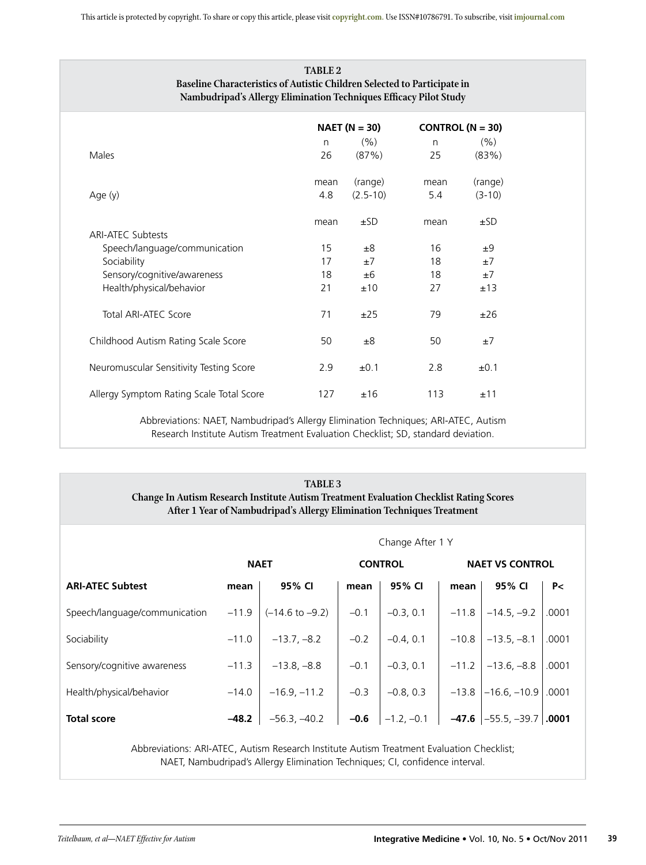|                                          |              | $NAET (N = 30)$ | CONTROL $(N = 30)$ |           |
|------------------------------------------|--------------|-----------------|--------------------|-----------|
|                                          | $\mathsf{n}$ | (% )            | $\mathsf{n}$       | (% )      |
| Males                                    | 26           | (87%)           | 25                 | (83%)     |
|                                          | mean         | (range)         | mean               | (range)   |
| Age (y)                                  | 4.8          | $(2.5 - 10)$    | 5.4                | $(3-10)$  |
|                                          | mean         | ±SD             | mean               | ±SD       |
| <b>ARI-ATEC Subtests</b>                 |              |                 |                    |           |
| Speech/language/communication            | 15           | ±8              | 16                 | ±9        |
| Sociability                              | 17           | ±7              | 18                 | ±7        |
| Sensory/cognitive/awareness              | 18           | ±6              | 18                 | $\pm 7$   |
| Health/physical/behavior                 | 21           | ±10             | 27                 | ±13       |
| Total ARI-ATEC Score                     | 71           | ±25             | 79                 | ±26       |
| Childhood Autism Rating Scale Score      | 50           | ±8              | 50                 | ±7        |
| Neuromuscular Sensitivity Testing Score  | 2.9          | ±0.1            | 2.8                | $\pm 0.1$ |
| Allergy Symptom Rating Scale Total Score | 127          | ±16             | 113                | ±11       |

Research Institute Autism Treatment Evaluation Checklist; SD, standard deviation.

| <b>TABLE 3</b><br><b>Change In Autism Research Institute Autism Treatment Evaluation Checklist Rating Scores</b><br>After 1 Year of Nambudripad's Allergy Elimination Techniques Treatment |                  |                            |                |              |                        |                                |       |  |
|--------------------------------------------------------------------------------------------------------------------------------------------------------------------------------------------|------------------|----------------------------|----------------|--------------|------------------------|--------------------------------|-------|--|
|                                                                                                                                                                                            | Change After 1 Y |                            |                |              |                        |                                |       |  |
|                                                                                                                                                                                            |                  | <b>NAET</b>                | <b>CONTROL</b> |              | <b>NAET VS CONTROL</b> |                                |       |  |
| <b>ARI-ATEC Subtest</b>                                                                                                                                                                    | mean             | 95% CI                     | mean           | 95% CI       | mean                   | 95% CI                         | P<    |  |
| Speech/language/communication                                                                                                                                                              | $-11.9$          | $(-14.6 \text{ to } -9.2)$ | $-0.1$         | $-0.3, 0.1$  | $-11.8$                | $-14.5, -9.2$                  | .0001 |  |
| Sociability                                                                                                                                                                                | $-11.0$          | $-13.7, -8.2$              | $-0.2$         | $-0.4, 0.1$  | $-10.8$                | $-13.5, -8.1$                  | .0001 |  |
| Sensory/cognitive awareness                                                                                                                                                                | $-11.3$          | $-13.8, -8.8$              | $-0.1$         | $-0.3, 0.1$  | $-11.2$                | $-13.6, -8.8$                  | .0001 |  |
| Health/physical/behavior                                                                                                                                                                   | $-14.0$          | $-16.9, -11.2$             | $-0.3$         | $-0.8, 0.3$  | $-13.8$                | $-16.6, -10.9$                 | .0001 |  |
| <b>Total score</b>                                                                                                                                                                         | $-48.2$          | $-56.3, -40.2$             | $-0.6$         | $-1.2, -0.1$ |                        | $-47.6$ $ -55.5, -39.7 $ .0001 |       |  |

Abbreviations: ARI-ATEC, Autism Research Institute Autism Treatment Evaluation Checklist; NAET, Nambudripad's Allergy Elimination Techniques; CI, confidence interval.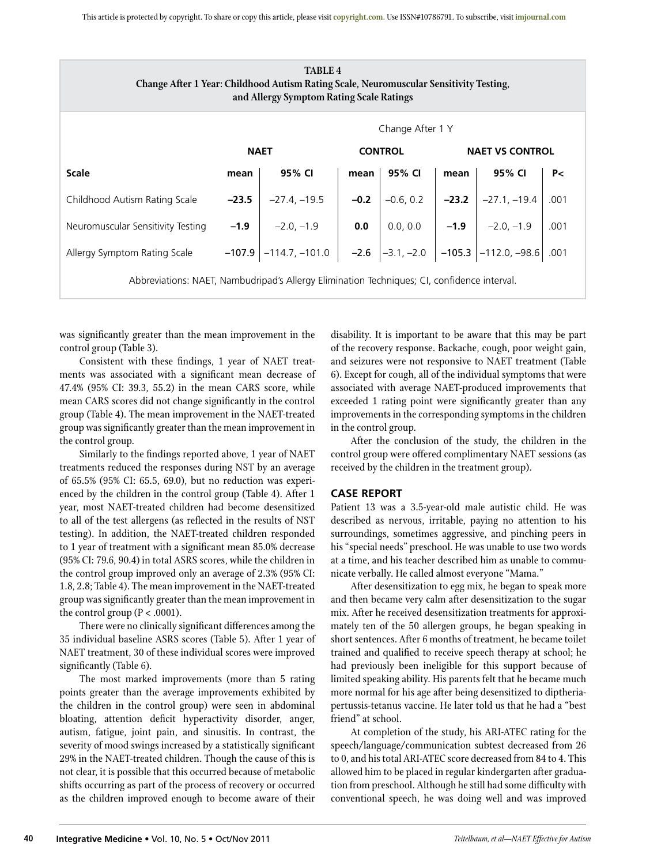| <b>TABLE 4</b><br>Change After 1 Year: Childhood Autism Rating Scale, Neuromuscular Sensitivity Testing,<br>and Allergy Symptom Rating Scale Ratings |                  |                                                              |                |             |                        |                                          |      |  |
|------------------------------------------------------------------------------------------------------------------------------------------------------|------------------|--------------------------------------------------------------|----------------|-------------|------------------------|------------------------------------------|------|--|
|                                                                                                                                                      | Change After 1 Y |                                                              |                |             |                        |                                          |      |  |
|                                                                                                                                                      |                  | <b>NAET</b>                                                  | <b>CONTROL</b> |             | <b>NAET VS CONTROL</b> |                                          |      |  |
| <b>Scale</b>                                                                                                                                         | mean             | 95% CI                                                       | mean           | 95% CI      | mean                   | 95% CI                                   | P<   |  |
| Childhood Autism Rating Scale                                                                                                                        | $-23.5$          | $-27.4, -19.5$                                               | $-0.2$         | $-0.6, 0.2$ | $-23.2$                | $-27.1, -19.4$                           | .001 |  |
| Neuromuscular Sensitivity Testing                                                                                                                    | $-1.9$           | $-2.0, -1.9$                                                 | $0.0\,$        |             |                        | 0.0, 0.0 $\vert$ -1.9 $\vert$ -2.0, -1.9 | .001 |  |
| Allergy Symptom Rating Scale                                                                                                                         |                  | $-107.9$ -114.7, -101.0 -2.6 -3.1, -2.0 -105.3 -112.0, -98.6 |                |             |                        |                                          | .001 |  |
| Abbreviations: NAET, Nambudripad's Allergy Elimination Techniques; CI, confidence interval.                                                          |                  |                                                              |                |             |                        |                                          |      |  |

was significantly greater than the mean improvement in the control group (Table 3).

Consistent with these findings, 1 year of NAET treatments was associated with a significant mean decrease of 47.4% (95% CI: 39.3, 55.2) in the mean CARS score, while mean CARS scores did not change significantly in the control group (Table 4). The mean improvement in the NAET-treated group was significantly greater than the mean improvement in the control group.

Similarly to the findings reported above, 1 year of NAET treatments reduced the responses during NST by an average of 65.5% (95% CI: 65.5, 69.0), but no reduction was experienced by the children in the control group (Table 4). After 1 year, most NAET-treated children had become desensitized to all of the test allergens (as reflected in the results of NST testing). In addition, the NAET-treated children responded to 1 year of treatment with a significant mean 85.0% decrease (95% CI: 79.6, 90.4) in total ASRS scores, while the children in the control group improved only an average of 2.3% (95% CI: 1.8, 2.8; Table 4). The mean improvement in the NAET-treated group was significantly greater than the mean improvement in the control group ( $P < .0001$ ).

There were no clinically significant differences among the 35 individual baseline ASRS scores (Table 5). After 1 year of NAET treatment, 30 of these individual scores were improved significantly (Table 6).

The most marked improvements (more than 5 rating points greater than the average improvements exhibited by the children in the control group) were seen in abdominal bloating, attention deficit hyperactivity disorder, anger, autism, fatigue, joint pain, and sinusitis. In contrast, the severity of mood swings increased by a statistically significant 29% in the NAET-treated children. Though the cause of this is not clear, it is possible that this occurred because of metabolic shifts occurring as part of the process of recovery or occurred as the children improved enough to become aware of their

disability. It is important to be aware that this may be part of the recovery response. Backache, cough, poor weight gain, and seizures were not responsive to NAET treatment (Table 6). Except for cough, all of the individual symptoms that were associated with average NAET-produced improvements that exceeded 1 rating point were significantly greater than any improvements in the corresponding symptoms in the children in the control group.

After the conclusion of the study, the children in the control group were offered complimentary NAET sessions (as received by the children in the treatment group).

# **Case Report**

Patient 13 was a 3.5-year-old male autistic child. He was described as nervous, irritable, paying no attention to his surroundings, sometimes aggressive, and pinching peers in his "special needs" preschool. He was unable to use two words at a time, and his teacher described him as unable to communicate verbally. He called almost everyone "Mama."

After desensitization to egg mix, he began to speak more and then became very calm after desensitization to the sugar mix. After he received desensitization treatments for approximately ten of the 50 allergen groups, he began speaking in short sentences. After 6 months of treatment, he became toilet trained and qualified to receive speech therapy at school; he had previously been ineligible for this support because of limited speaking ability. His parents felt that he became much more normal for his age after being desensitized to diptheriapertussis-tetanus vaccine. He later told us that he had a "best friend" at school.

At completion of the study, his ARI-ATEC rating for the speech/language/communication subtest decreased from 26 to 0, and his total ARI-ATEC score decreased from 84 to 4. This allowed him to be placed in regular kindergarten after graduation from preschool. Although he still had some difficulty with conventional speech, he was doing well and was improved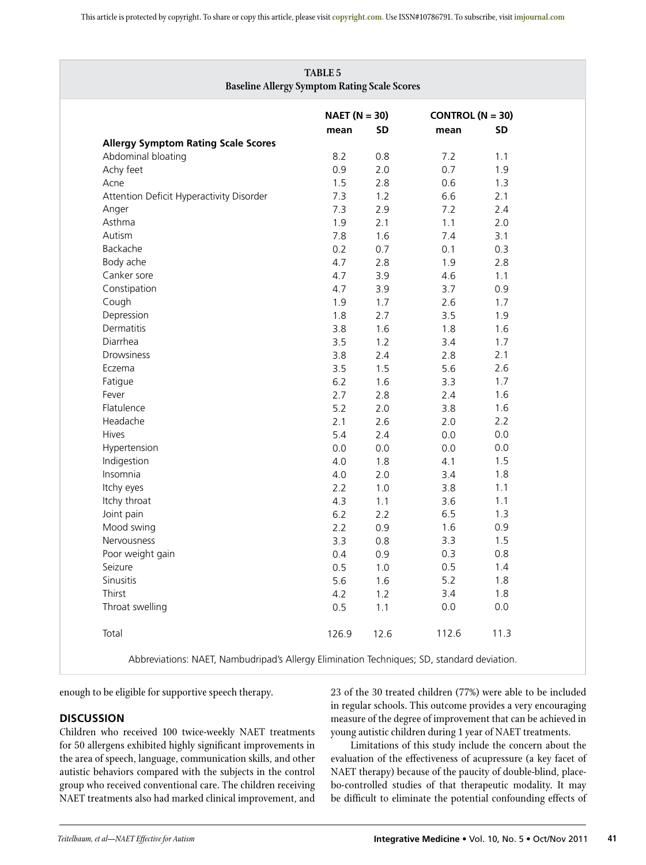|                                            | $NAET (N = 30)$ |           | CONTROL $(N = 30)$ |           |
|--------------------------------------------|-----------------|-----------|--------------------|-----------|
|                                            | mean            | <b>SD</b> | mean               | <b>SD</b> |
| <b>Allergy Symptom Rating Scale Scores</b> |                 |           |                    |           |
| Abdominal bloating                         | 8.2             | 0.8       | 7.2                | 1.1       |
| Achy feet                                  | 0.9             | 2.0       | 0.7                | 1.9       |
| Acne                                       | 1.5             | 2.8       | 0.6                | 1.3       |
| Attention Deficit Hyperactivity Disorder   | 7.3             | 1.2       | 6.6                | 2.1       |
| Anger                                      | 7.3             | 2.9       | 7.2                | 2.4       |
| Asthma                                     | 1.9             | 2.1       | 1.1                | 2.0       |
| Autism                                     | 7.8             | 1.6       | 7.4                | 3.1       |
| Backache                                   | 0.2             | 0.7       | 0.1                | 0.3       |
| Body ache                                  | 4.7             | 2.8       | 1.9                | 2.8       |
| Canker sore                                | 4.7             | 3.9       | 4.6                | 1.1       |
| Constipation                               | 4.7             | 3.9       | 3.7                | 0.9       |
| Cough                                      | 1.9             | 1.7       | 2.6                | 1.7       |
| Depression                                 | 1.8             | 2.7       | 3.5                | 1.9       |
| Dermatitis                                 | 3.8             | 1.6       | 1.8                | 1.6       |
| Diarrhea                                   | 3.5             | 1.2       | 3.4                | 1.7       |
| Drowsiness                                 | 3.8             | 2.4       | 2.8                | 2.1       |
| Eczema                                     | 3.5             | 1.5       | 5.6                | 2.6       |
| Fatigue                                    | 6.2             | 1.6       | 3.3                | 1.7       |
| Fever                                      | 2.7             | 2.8       | 2.4                | 1.6       |
| Flatulence                                 | 5.2             | 2.0       | 3.8                | 1.6       |
| Headache                                   | 2.1             | 2.6       | 2.0                | 2.2       |
| <b>Hives</b>                               | 5.4             | 2.4       | 0.0                | 0.0       |
| Hypertension                               | 0.0             | 0.0       | 0.0                | 0.0       |
| Indigestion                                | 4.0             | 1.8       | 4.1                | 1.5       |
| Insomnia                                   | 4.0             | 2.0       | 3.4                | 1.8       |
| Itchy eyes                                 | 2.2             | 1.0       | 3.8                | 1.1       |
| Itchy throat                               | 4.3             | 1.1       | 3.6                | 1.1       |
| Joint pain                                 | 6.2             | 2.2       | 6.5                | 1.3       |
| Mood swing                                 | 2.2             | 0.9       | 1.6                | 0.9       |
| Nervousness                                | 3.3             | 0.8       | 3.3                | 1.5       |
| Poor weight gain                           | 0.4             | 0.9       | 0.3                | 0.8       |
| Seizure                                    | 0.5             | 1.0       | 0.5                | 1.4       |
| Sinusitis                                  | 5.6             | 1.6       | 5.2                | 1.8       |
| Thirst                                     | 4.2             | 1.2       | 3.4                | 1.8       |
| Throat swelling                            | 0.5             | 1.1       | 0.0                | $0.0\,$   |
| Total                                      | 126.9           | 12.6      | 112.6              | 11.3      |

enough to be eligible for supportive speech therapy.

# **DISCUSSION**

Children who received 100 twice-weekly NAET treatments for 50 allergens exhibited highly significant improvements in the area of speech, language, communication skills, and other autistic behaviors compared with the subjects in the control group who received conventional care. The children receiving NAET treatments also had marked clinical improvement, and 23 of the 30 treated children (77%) were able to be included in regular schools. This outcome provides a very encouraging measure of the degree of improvement that can be achieved in young autistic children during 1 year of NAET treatments.

Limitations of this study include the concern about the evaluation of the effectiveness of acupressure (a key facet of NAET therapy) because of the paucity of double-blind, placebo-controlled studies of that therapeutic modality. It may be difficult to eliminate the potential confounding effects of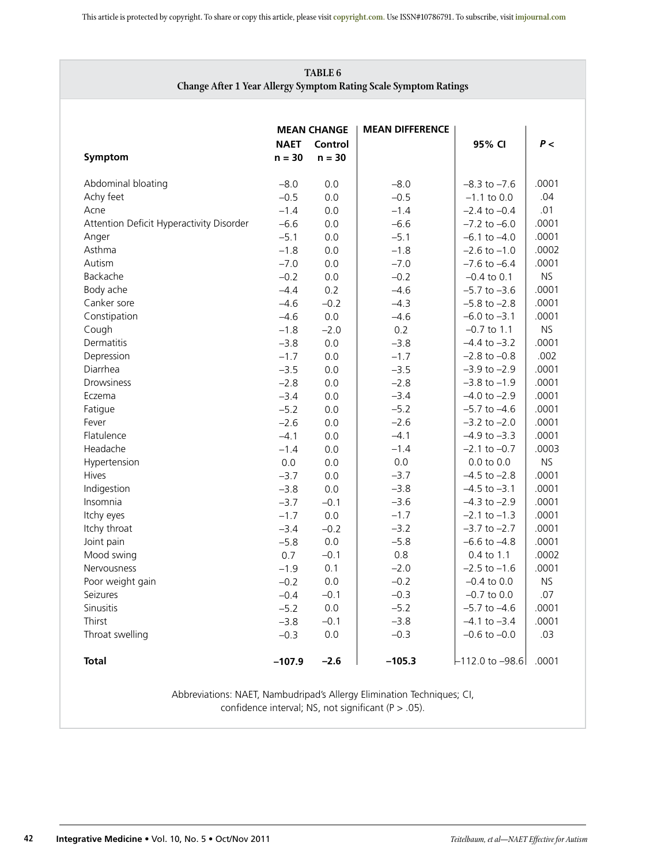# **TABLE 6 Change After 1 Year Allergy Symptom Rating Scale Symptom Ratings**

|                                          | <b>NAET</b> | <b>MEAN CHANGE</b><br>Control | <b>MEAN DIFFERENCE</b> | 95% CI              | P<        |
|------------------------------------------|-------------|-------------------------------|------------------------|---------------------|-----------|
| Symptom                                  | $n = 30$    | $n = 30$                      |                        |                     |           |
| Abdominal bloating                       | $-8.0$      | 0.0                           | $-8.0$                 | $-8.3$ to $-7.6$    | .0001     |
| Achy feet                                | $-0.5$      | 0.0                           | $-0.5$                 | $-1.1$ to 0.0       | .04       |
| Acne                                     | $-1.4$      | 0.0                           | $-1.4$                 | $-2.4$ to $-0.4$    | .01       |
| Attention Deficit Hyperactivity Disorder | $-6.6$      | 0.0                           | $-6.6$                 | $-7.2$ to $-6.0$    | .0001     |
| Anger                                    | $-5.1$      | 0.0                           | $-5.1$                 | $-6.1$ to $-4.0$    | .0001     |
| Asthma                                   | $-1.8$      | 0.0                           | $-1.8$                 | $-2.6$ to $-1.0$    | .0002     |
| Autism                                   | $-7.0$      | 0.0                           | $-7.0$                 | $-7.6$ to $-6.4$    | .0001     |
| Backache                                 | $-0.2$      | 0.0                           | $-0.2$                 | $-0.4$ to 0.1       | NS.       |
| Body ache                                | $-4.4$      | 0.2                           | $-4.6$                 | $-5.7$ to $-3.6$    | .0001     |
| Canker sore                              | $-4.6$      | $-0.2$                        | $-4.3$                 | $-5.8$ to $-2.8$    | .0001     |
| Constipation                             | $-4.6$      | 0.0                           | $-4.6$                 | $-6.0$ to $-3.1$    | .0001     |
| Cough                                    | $-1.8$      | $-2.0$                        | 0.2                    | $-0.7$ to 1.1       | NS.       |
| Dermatitis                               | $-3.8$      | 0.0                           | $-3.8$                 | $-4.4$ to $-3.2$    | .0001     |
| Depression                               | $-1.7$      | 0.0                           | $-1.7$                 | $-2.8$ to $-0.8$    | .002      |
| Diarrhea                                 | $-3.5$      | 0.0                           | $-3.5$                 | $-3.9$ to $-2.9$    | .0001     |
| <b>Drowsiness</b>                        | $-2.8$      | 0.0                           | $-2.8$                 | $-3.8$ to $-1.9$    | .0001     |
| Eczema                                   | $-3.4$      | 0.0                           | $-3.4$                 | $-4.0$ to $-2.9$    | .0001     |
| Fatigue                                  | $-5.2$      | 0.0                           | $-5.2$                 | $-5.7$ to $-4.6$    | .0001     |
| Fever                                    | $-2.6$      | 0.0                           | $-2.6$                 | $-3.2$ to $-2.0$    | .0001     |
| Flatulence                               | $-4.1$      | 0.0                           | $-4.1$                 | $-4.9$ to $-3.3$    | .0001     |
| Headache                                 | $-1.4$      | 0.0                           | $-1.4$                 | $-2.1$ to $-0.7$    | .0003     |
| Hypertension                             | 0.0         | 0.0                           | 0.0                    | $0.0$ to $0.0$      | NS.       |
| <b>Hives</b>                             | $-3.7$      | $0.0\,$                       | $-3.7$                 | $-4.5$ to $-2.8$    | .0001     |
| Indigestion                              | $-3.8$      | 0.0                           | $-3.8$                 | $-4.5$ to $-3.1$    | .0001     |
| Insomnia                                 | $-3.7$      | $-0.1$                        | $-3.6$                 | $-4.3$ to $-2.9$    | .0001     |
| Itchy eyes                               | $-1.7$      | 0.0                           | $-1.7$                 | $-2.1$ to $-1.3$    | .0001     |
| Itchy throat                             | $-3.4$      | $-0.2$                        | $-3.2$                 | $-3.7$ to $-2.7$    | .0001     |
| Joint pain                               | $-5.8$      | 0.0                           | $-5.8$                 | $-6.6$ to $-4.8$    | .0001     |
| Mood swing                               | 0.7         | $-0.1$                        | 0.8                    | 0.4 to 1.1          | .0002     |
| Nervousness                              | $-1.9$      | 0.1                           | $-2.0$                 | $-2.5$ to $-1.6$    | .0001     |
| Poor weight gain                         | $-0.2$      | 0.0                           | $-0.2$                 | $-0.4$ to 0.0       | <b>NS</b> |
| Seizures                                 | $-0.4$      | $-0.1$                        | $-0.3$                 | $-0.7$ to 0.0       | .07       |
| Sinusitis                                | $-5.2$      | 0.0                           | $-5.2$                 | $-5.7$ to $-4.6$    | .0001     |
| Thirst                                   | $-3.8$      | $-0.1$                        | $-3.8$                 | $-4.1$ to $-3.4$    | .0001     |
| Throat swelling                          | $-0.3$      | $0.0\,$                       | $-0.3$                 | $-0.6$ to $-0.0$    | .03       |
| <b>Total</b>                             | $-107.9$    | $-2.6$                        | $-105.3$               | $-112.0$ to $-98.6$ | .0001     |

Abbreviations: NAET, Nambudripad's Allergy Elimination Techniques; CI, confidence interval; NS, not significant ( $P > .05$ ).